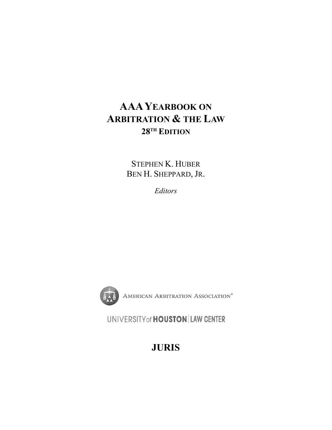# **AAAYEARBOOK ON ARBITRATION & THE LAW 28TH EDITION**

STEPHEN K. HUBER BEN H. SHEPPARD, JR.

*Editors* 



AMERICAN ARBITRATION ASSOCIATION®

UNIVERSITY of **HOUSTON** LAW CENTER

**JURIS**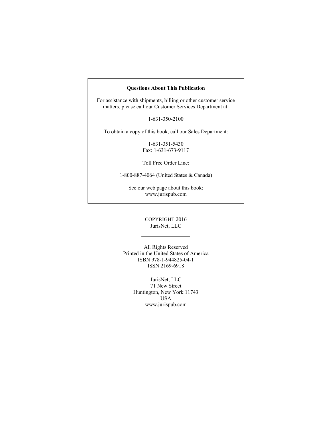#### **Questions About This Publication**

For assistance with shipments, billing or other customer service matters, please call our Customer Services Department at:

1-631-350-2100

To obtain a copy of this book, call our Sales Department:

1-631-351-5430 Fax: 1-631-673-9117

Toll Free Order Line:

1-800-887-4064 (United States & Canada)

See our web page about this book: www.jurispub.com

#### COPYRIGHT 2016 JurisNet, LLC

All Rights Reserved Printed in the United States of America ISBN 978-1-944825-04-1 ISSN 2169-6918

> JurisNet, LLC 71 New Street Huntington, New York 11743 USA www.jurispub.com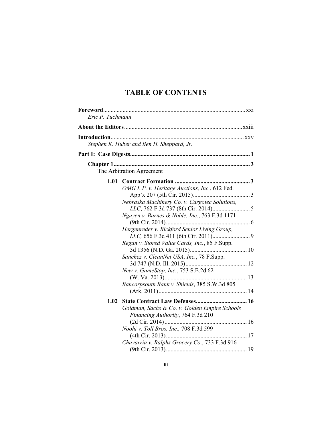| Eric P. Tuchmann |                                                                                                                                                                                                                                                                                                                                                                                       |  |
|------------------|---------------------------------------------------------------------------------------------------------------------------------------------------------------------------------------------------------------------------------------------------------------------------------------------------------------------------------------------------------------------------------------|--|
|                  |                                                                                                                                                                                                                                                                                                                                                                                       |  |
|                  | Stephen K. Huber and Ben H. Sheppard, Jr.                                                                                                                                                                                                                                                                                                                                             |  |
|                  |                                                                                                                                                                                                                                                                                                                                                                                       |  |
|                  | The Arbitration Agreement                                                                                                                                                                                                                                                                                                                                                             |  |
| 1.01             | OMG L.P. v. Heritage Auctions, Inc., 612 Fed.<br>Nebraska Machinery Co. v. Cargotec Solutions,<br>Nguyen v. Barnes & Noble, Inc., 763 F.3d 1171<br>Hergenreder v. Bickford Senior Living Group,<br>Regan v. Stored Value Cards, Inc., 85 F.Supp.<br>Sanchez v. CleanNet USA, Inc., 78 F.Supp.<br>New v. GameStop, Inc., 753 S.E.2d 62<br>Bancorpsouth Bank v. Shields, 385 S.W.3d 805 |  |
| 1.02             | Goldman, Sachs & Co. v. Golden Empire Schools<br>Financing Authority, 764 F.3d 210<br>Noohi v. Toll Bros. Inc., 708 F.3d 599<br>Chavarria v. Ralphs Grocery Co., 733 F.3d 916                                                                                                                                                                                                         |  |
|                  |                                                                                                                                                                                                                                                                                                                                                                                       |  |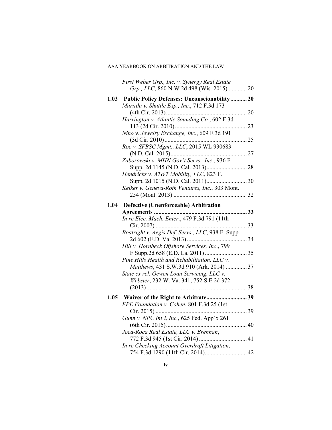|      | First Weber Grp., Inc. v. Synergy Real Estate<br>Grp., LLC, 860 N.W.2d 498 (Wis. 2015) 20 |  |
|------|-------------------------------------------------------------------------------------------|--|
| 1.03 | <b>Public Policy Defenses: Unconscionability 20</b>                                       |  |
|      | Muriithi v. Shuttle Exp., Inc., 712 F.3d 173                                              |  |
|      |                                                                                           |  |
|      | Harrington v. Atlantic Sounding Co., 602 F.3d                                             |  |
|      |                                                                                           |  |
|      | Nino v. Jewelry Exchange, Inc., 609 F.3d 191                                              |  |
|      |                                                                                           |  |
|      | Roe v. SFBSC Mgmt., LLC, 2015 WL 930683                                                   |  |
|      | Zaborowski v. MHN Gov't Servs., Inc., 936 F.                                              |  |
|      |                                                                                           |  |
|      | Hendricks v. AT&T Mobility, LLC, 823 F.                                                   |  |
|      |                                                                                           |  |
|      | Kelker v. Geneva-Roth Ventures, Inc., 303 Mont.                                           |  |
|      |                                                                                           |  |
|      | 1.04 Defective (Unenforceable) Arbitration                                                |  |
|      |                                                                                           |  |
|      | In re Elec. Mach. Enter., 479 F.3d 791 (11th                                              |  |
|      |                                                                                           |  |
|      | Boatright v. Aegis Def. Servs., LLC, 938 F. Supp.                                         |  |
|      |                                                                                           |  |
|      | Hill v. Hornbeck Offshore Services, Inc., 799                                             |  |
|      |                                                                                           |  |
|      | Pine Hills Health and Rehabilitation, LLC v.                                              |  |
|      | Matthews, 431 S.W.3d 910 (Ark. 2014)  37                                                  |  |
|      | State ex rel. Ocwen Loan Servicing, LLC v.                                                |  |
|      | Webster, 232 W. Va. 341, 752 S.E.2d 372                                                   |  |
|      |                                                                                           |  |
| 1.05 | Waiver of the Right to Arbitrate39                                                        |  |
|      | FPE Foundation v. Cohen, 801 F.3d 25 (1st                                                 |  |
|      |                                                                                           |  |
|      | Gunn v. NPC Int'l, Inc., 625 Fed. App'x 261                                               |  |
|      |                                                                                           |  |
|      | Joca-Roca Real Estate, LLC v. Brennan,                                                    |  |
|      |                                                                                           |  |
|      | In re Checking Account Overdraft Litigation,                                              |  |
|      |                                                                                           |  |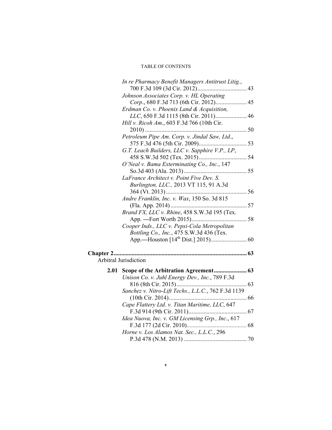|      | In re Pharmacy Benefit Managers Antitrust Litig.,   |  |
|------|-----------------------------------------------------|--|
|      | Johnson Associates Corp. v. HL Operating            |  |
|      | Corp., 680 F.3d 713 (6th Cir. 2012) 45              |  |
|      | Erdman Co. v. Phoenix Land & Acquisition,           |  |
|      | LLC, 650 F.3d 1115 (8th Cir. 2011) 46               |  |
|      | Hill v. Ricoh Am., 603 F.3d 766 (10th Cir.          |  |
|      |                                                     |  |
|      | Petroleum Pipe Am. Corp. v. Jindal Saw, Ltd.,       |  |
|      |                                                     |  |
|      | G.T. Leach Builders, LLC v. Sapphire V.P., LP,      |  |
|      |                                                     |  |
|      | O'Neal v. Bama Exterminating Co., Inc., 147         |  |
|      |                                                     |  |
|      | LaFrance Architect v. Point Five Dev. S.            |  |
|      | Burlington, LLC., 2013 VT 115, 91 A.3d              |  |
|      |                                                     |  |
|      | Andre Franklin, Inc. v. Wax, 150 So. 3d 815         |  |
|      |                                                     |  |
|      | Brand FX, LLC v. Rhine, 458 S.W.3d 195 (Tex.        |  |
|      |                                                     |  |
|      | Cooper Inds., LLC v. Pepsi-Cola Metropolitan        |  |
|      | Bottling Co., Inc., 475 S.W.3d 436 (Tex.            |  |
|      |                                                     |  |
|      |                                                     |  |
|      | Arbitral Jurisdiction                               |  |
| 2.01 |                                                     |  |
|      | Unison Co. v. Juhl Energy Dev., Inc., 789 F.3d      |  |
|      |                                                     |  |
|      | Sanchez v. Nitro-Lift Techs., L.L.C., 762 F.3d 1139 |  |
|      |                                                     |  |
|      | Cape Flattery Ltd. v. Titan Maritime, LLC, 647      |  |
|      |                                                     |  |
|      | Idea Nuova, Inc. v. GM Licensing Grp., Inc., 617    |  |
|      |                                                     |  |
|      | Horne v. Los Alamos Nat. Sec., L.L.C., 296          |  |
|      |                                                     |  |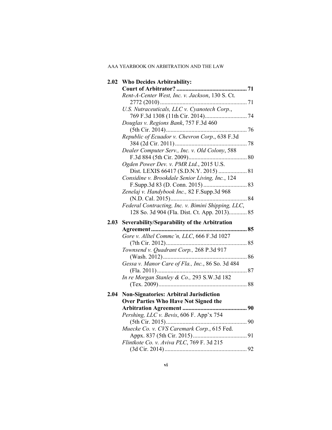|      | 2.02 Who Decides Arbitrability:                    |  |
|------|----------------------------------------------------|--|
|      |                                                    |  |
|      | Rent-A-Center West, Inc. v. Jackson, 130 S. Ct.    |  |
|      |                                                    |  |
|      | U.S. Nutraceuticals, LLC v. Cyanotech Corp.,       |  |
|      |                                                    |  |
|      | Douglas v. Regions Bank, 757 F.3d 460              |  |
|      |                                                    |  |
|      | Republic of Ecuador v. Chevron Corp., 638 F.3d     |  |
|      |                                                    |  |
|      | Dealer Computer Serv., Inc. v. Old Colony, 588     |  |
|      |                                                    |  |
|      | Ogden Power Dev. v. PMR Ltd., 2015 U.S.            |  |
|      |                                                    |  |
|      | Considine v. Brookdale Senior Living, Inc., 124    |  |
|      |                                                    |  |
|      | Zenelaj v. Handybook Inc., 82 F.Supp.3d 968        |  |
|      |                                                    |  |
|      | Federal Contracting, Inc. v. Bimini Shipping, LLC, |  |
|      | 128 So. 3d 904 (Fla. Dist. Ct. App. 2013) 85       |  |
|      |                                                    |  |
| 2.03 | Severability/Separability of the Arbitration       |  |
|      |                                                    |  |
|      | Gore v. Alltel Commc'n, LLC, 666 F.3d 1027         |  |
|      |                                                    |  |
|      | Townsend v. Quadrant Corp., 268 P.3d 917           |  |
|      |                                                    |  |
|      | Gessa v. Manor Care of Fla., Inc., 86 So. 3d 484   |  |
|      |                                                    |  |
|      | In re Morgan Stanley & Co., 293 S.W.3d 182         |  |
|      |                                                    |  |
| 2.04 |                                                    |  |
|      | <b>Non-Signatories: Arbitral Jurisdiction</b>      |  |
|      | Over Parties Who Have Not Signed the               |  |
|      |                                                    |  |
|      | Pershing, LLC v. Bevis, 606 F. App'x 754           |  |
|      |                                                    |  |
|      | Muecke Co. v. CVS Caremark Corp., 615 Fed.         |  |
|      | Flintkote Co. v. Aviva PLC, 769 F. 3d 215          |  |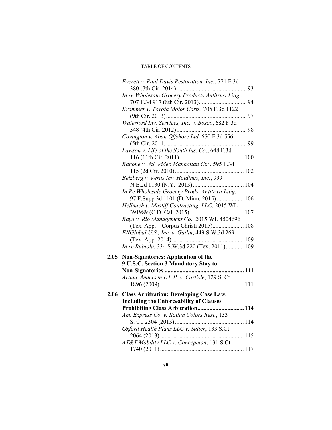|      | Everett v. Paul Davis Restoration, Inc., 771 F.3d                                                                                           |  |
|------|---------------------------------------------------------------------------------------------------------------------------------------------|--|
|      | In re Wholesale Grocery Products Antitrust Litig.,                                                                                          |  |
|      | Krammer v. Toyota Motor Corp., 705 F.3d 1122                                                                                                |  |
|      | Waterford Inv. Services, Inc. v. Bosco, 682 F.3d                                                                                            |  |
|      | Covington v. Aban Offshore Ltd. 650 F.3d 556                                                                                                |  |
|      | Lawson v. Life of the South Ins. Co., 648 F.3d                                                                                              |  |
|      | Ragone v. Atl. Video Manhattan Ctr., 595 F.3d                                                                                               |  |
|      | Belzberg v. Verus Inv. Holdings, Inc., 999                                                                                                  |  |
|      | In Re Wholesale Grocery Prods. Antitrust Litig.,<br>97 F.Supp.3d 1101 (D. Minn. 2015)  106<br>Hellmich v. Mastiff Contracting, LLC, 2015 WL |  |
|      | Raya v. Rio Management Co., 2015 WL 4504696                                                                                                 |  |
|      | ENGlobal U.S., Inc. v. Gatlin, 449 S.W.3d 269                                                                                               |  |
|      | In re Rubiola, 334 S.W.3d 220 (Tex. 2011) 109                                                                                               |  |
| 2.05 | <b>Non-Signatories: Application of the</b><br>9 U.S.C. Section 3 Mandatory Stay to                                                          |  |
|      | Arthur Andersen L.L.P. v. Carlisle, 129 S. Ct.                                                                                              |  |
|      | 2.06 Class Arbitration: Developing Case Law,<br><b>Including the Enforceability of Clauses</b>                                              |  |
|      | Prohibiting Class Arbitration 114                                                                                                           |  |
|      | Am. Express Co. v. Italian Colors Rest., 133                                                                                                |  |
|      | Oxford Health Plans LLC v. Sutter, 133 S.Ct                                                                                                 |  |
|      | AT&T Mobility LLC v. Concepcion, 131 S.Ct                                                                                                   |  |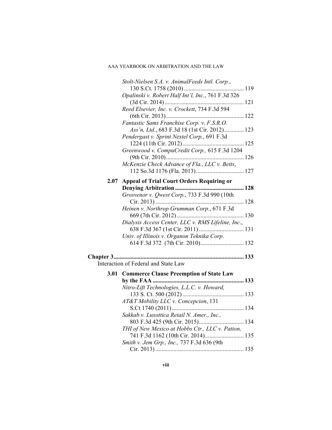|      | Stolt-Nielsen S.A. v. AnimalFeeds Intl. Corp.,     |  |
|------|----------------------------------------------------|--|
|      | Opalinski v. Robert Half Int'l, Inc., 761 F.3d 326 |  |
|      |                                                    |  |
|      | Reed Elsevier, Inc. v. Crockett, 734 F.3d 594      |  |
|      | Fantastic Sams Franchise Corp. v. F.S.R.O.         |  |
|      | Ass'n, Ltd., 683 F.3d 18 (1st Cir. 2012) 123       |  |
|      | Pendergast v. Sprint Nextel Corp., 691 F.3d        |  |
|      |                                                    |  |
|      | Greenwood v. CompuCredit Corp., 615 F.3d 1204      |  |
|      | McKenzie Check Advance of Fla., LLC v. Betts,      |  |
|      |                                                    |  |
| 2.07 | <b>Appeal of Trial Court Orders Requiring or</b>   |  |
|      | Grosvenor v. Qwest Corp., 733 F.3d 990 (10th       |  |
|      |                                                    |  |
|      | Heinen v. Northrop Grumman Corp., 671 F.3d         |  |
|      |                                                    |  |
|      | Dialysis Access Center, LLC v. RMS Lifeline, Inc., |  |
|      | Univ. of Illinois v. Organon Teknika Corp.         |  |
|      |                                                    |  |
|      |                                                    |  |
|      | Interaction of Federal and State Law               |  |
| 3.01 | <b>Commerce Clause Preemption of State Law</b>     |  |
|      |                                                    |  |
|      | Nitro-Lift Technologies, L.L.C. v. Howard,         |  |
|      | AT&T Mobility LLC v. Concepcion, 131               |  |
|      |                                                    |  |
|      | Sakkab v. Luxottica Retail N. Amer., Inc.,         |  |
|      | THI of New Mexico at Hobbs Ctr., LLC v. Patton,    |  |
|      | 741 F.3d 1162 (10th Cir. 2014) 135                 |  |
|      | Smith v. Jem Grp., Inc., 737 F.3d 636 (9th         |  |

Cir. 2013) ........................................................... 135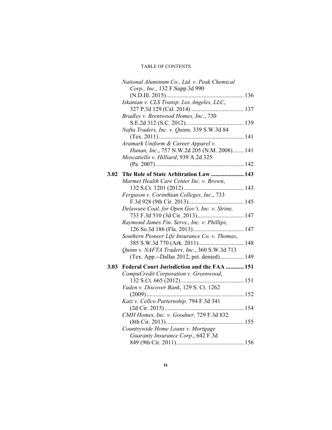|      | National Aluminum Co., Ltd. v. Peak Chemical   |  |
|------|------------------------------------------------|--|
|      | Corp., Inc., 132 F.Supp.3d 990                 |  |
|      |                                                |  |
|      | Iskanian v. CLS Transp. Los Angeles, LLC,      |  |
|      |                                                |  |
|      | Bradley v. Brentwood Homes, Inc., 730          |  |
|      |                                                |  |
|      | Nafta Traders, Inc. v. Quinn, 339 S.W.3d 84    |  |
|      |                                                |  |
|      | Aramark Uniform & Career Apparel v.            |  |
|      | Hunan, Inc., 757 N.W.2d 205 (N.M. 2008) 141    |  |
|      | Moscatiello v. Hilliard, 939 A.2d 325          |  |
|      |                                                |  |
|      |                                                |  |
| 3.02 | The Role of State Arbitration Law  143         |  |
|      | Marmet Health Care Center Inc. v. Brown,       |  |
|      |                                                |  |
|      | Ferguson v. Corinthian Colleges, Inc., 733     |  |
|      |                                                |  |
|      | Delaware Coal. for Open Gov't, Inc. v. Strine, |  |
|      |                                                |  |
|      | Raymond James Fin. Servs., Inc. v. Phillips,   |  |
|      |                                                |  |
|      | Southern Pioneer Life Insurance Co. v. Thomas, |  |
|      | 385 S.W.3d 770 (Ark. 2011) 148                 |  |
|      | Quinn v. NAFTA Traders, Inc., 360 S.W.3d 713   |  |
|      | (Tex. App.--Dallas 2012, pet. denied) 149      |  |
| 3.03 | Federal Court Jurisdiction and the FAA  151    |  |
|      | CompuCredit Corporation v. Greenwood,          |  |
|      |                                                |  |
|      | Vaden v. Discover Bank, 129 S. Ct. 1262        |  |
|      |                                                |  |
|      | Katz v. Cellco Parternship, 794 F.3d 341       |  |
|      |                                                |  |
|      | CMH Homes, Inc. v. Goodner, 729 F.3d 832       |  |
|      |                                                |  |
|      | Countrywide Home Loans v. Mortgage             |  |
|      | Guaranty Insurance Corp., 642 F.3d             |  |
|      |                                                |  |
|      |                                                |  |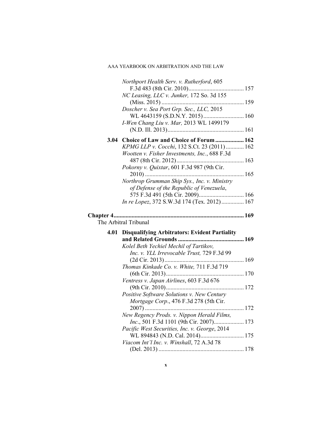|      | Northport Health Serv. v. Rutherford, 605                                                |  |
|------|------------------------------------------------------------------------------------------|--|
|      |                                                                                          |  |
|      | NC Leasing, LLC v. Junker, 172 So. 3d 155                                                |  |
|      | Doscher v. Sea Port Grp. Sec., LLC, 2015                                                 |  |
|      |                                                                                          |  |
|      | I-Wen Chang Liu v. Mar, 2013 WL 1499179                                                  |  |
|      |                                                                                          |  |
|      | 3.04 Choice of Law and Choice of Forum  162                                              |  |
|      | KPMG LLP v. Cocchi, 132 S.Ct. 23 (2011)  162                                             |  |
|      | Wootten v. Fisher Investments, Inc., 688 F.3d                                            |  |
|      |                                                                                          |  |
|      | Pokorny v. Quixtar, 601 F.3d 987 (9th Cir.                                               |  |
|      |                                                                                          |  |
|      | Northrop Grumman Ship Sys., Inc. v. Ministry<br>of Defense of the Republic of Venezuela, |  |
|      | 575 F.3d 491 (5th Cir. 2009) 166                                                         |  |
|      | In re Lopez, 372 S.W.3d 174 (Tex. 2012) 167                                              |  |
|      |                                                                                          |  |
|      | The Arbitral Tribunal                                                                    |  |
| 4.01 | <b>Disqualifying Arbitrators: Evident Partiality</b>                                     |  |
|      |                                                                                          |  |
|      | Kolel Beth Yechiel Mechil of Tartikov,<br>Inc. v. YLL Irrevocable Trust, 729 F.3d 99     |  |
|      |                                                                                          |  |
|      | Thomas Kinkade Co. v. White, 711 F.3d 719                                                |  |
|      |                                                                                          |  |
|      | Ventress v. Japan Airlines, 603 F.3d 676                                                 |  |
|      |                                                                                          |  |
|      | Positive Software Solutions v. New Century                                               |  |
|      | Mortgage Corp., 476 F.3d 278 (5th Cir.                                                   |  |
|      | New Regency Prods. v. Nippon Herald Films,                                               |  |
|      | <i>Inc.</i> , 501 F.3d 1101 (9th Cir. 2007) 173                                          |  |
|      | Pacific West Securities, Inc. v. George, 2014                                            |  |
|      |                                                                                          |  |
|      | Viacom Int'l Inc. v. Winshall, 72 A.3d 78                                                |  |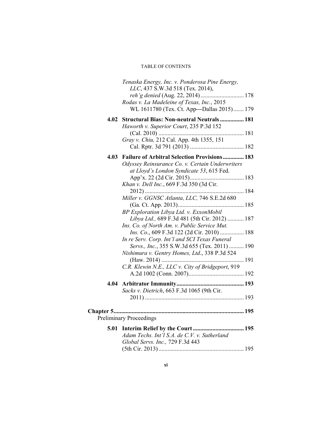|      | Tenaska Energy, Inc. v. Ponderosa Pine Energy,<br>LLC, 437 S.W.3d 518 (Tex. 2014),                                          |  |
|------|-----------------------------------------------------------------------------------------------------------------------------|--|
|      | reh'g denied (Aug. 22, 2014) 178<br>Rodas v. La Madeleine of Texas, Inc., 2015<br>WL 1611780 (Tex. Ct. App-Dallas 2015) 179 |  |
| 4.02 | <b>Structural Bias: Non-neutral Neutrals 181</b>                                                                            |  |
|      | Haworth v. Superior Court, 235 P.3d 152                                                                                     |  |
|      | Gray v. Chiu, 212 Cal. App. 4th 1355, 151                                                                                   |  |
|      |                                                                                                                             |  |
| 4.03 | <b>Failure of Arbitral Selection Provisions  183</b>                                                                        |  |
|      | Odyssey Reinsurance Co. v. Certain Underwriters                                                                             |  |
|      | at Lloyd's London Syndicate 53, 615 Fed.                                                                                    |  |
|      | Khan v. Dell Inc., 669 F.3d 350 (3d Cir.                                                                                    |  |
|      |                                                                                                                             |  |
|      | Miller v. GGNSC Atlanta, LLC, 746 S.E.2d 680                                                                                |  |
|      | BP Exploration Libya Ltd. v. ExxonMobil                                                                                     |  |
|      | Libya Ltd., 689 F.3d 481 (5th Cir. 2012)  187                                                                               |  |
|      | Ins. Co. of North Am. v. Public Service Mut.<br><i>Ins. Co.</i> , 609 F.3d 122 (2d Cir. 2010)  188                          |  |
|      | In re Serv. Corp. Int'l and SCI Texas Funeral                                                                               |  |
|      | Servs., Inc., 355 S.W.3d 655 (Tex. 2011)  190                                                                               |  |
|      | Nishimura v. Gentry Homes, Ltd., 338 P.3d 524                                                                               |  |
|      | C.R. Klewin N.E., LLC v. City of Bridgeport, 919                                                                            |  |
|      |                                                                                                                             |  |
|      |                                                                                                                             |  |
|      | Sacks v. Dietrich, 663 F.3d 1065 (9th Cir.                                                                                  |  |
|      |                                                                                                                             |  |
|      |                                                                                                                             |  |
|      | <b>Preliminary Proceedings</b>                                                                                              |  |
| 5.01 | Adam Techs. Int'l S.A. de C.V. v. Sutherland<br>Global Servs. Inc., 729 F.3d 443                                            |  |
|      |                                                                                                                             |  |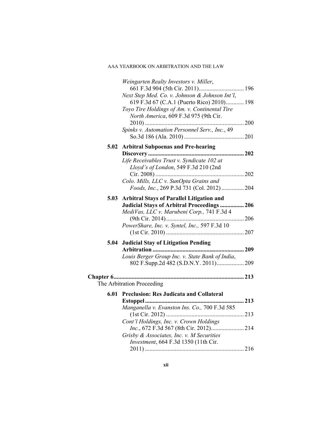|      | Weingarten Realty Investors v. Miller,             |     |
|------|----------------------------------------------------|-----|
|      |                                                    |     |
|      | Next Step Med. Co. v. Johnson & Johnson Int'l,     |     |
|      | 619 F.3d 67 (C.A.1 (Puerto Rico) 2010) 198         |     |
|      | Toyo Tire Holdings of Am. v. Continental Tire      |     |
|      | North America, 609 F.3d 975 (9th Cir.              |     |
|      |                                                    |     |
|      | Spinks v. Automation Personnel Serv., Inc., 49     |     |
|      |                                                    |     |
|      | 5.02 Arbitral Subpoenas and Pre-hearing            |     |
|      |                                                    |     |
|      | Life Receivables Trust v. Syndicate 102 at         |     |
|      | Lloyd's of London, 549 F.3d 210 (2nd               |     |
|      |                                                    |     |
|      | Colo. Mills, LLC v. SunOpta Grains and             |     |
|      | Foods, Inc., 269 P.3d 731 (Col. 2012)  204         |     |
| 5.03 | <b>Arbitral Stays of Parallel Litigation and</b>   |     |
|      | <b>Judicial Stays of Arbitral Proceedings  206</b> |     |
|      | MediVas, LLC v. Marubeni Corp., 741 F.3d 4         |     |
|      |                                                    |     |
|      | PowerShare, Inc. v. Syntel, Inc., 597 F.3d 10      |     |
|      |                                                    |     |
|      | 5.04 Judicial Stay of Litigation Pending           |     |
|      |                                                    | 209 |
|      |                                                    |     |
|      | Louis Berger Group Inc. v. State Bank of India,    |     |
|      |                                                    |     |
|      |                                                    |     |
|      | The Arbitration Proceeding                         |     |
|      | 6.01 Preclusion: Res Judicata and Collateral       |     |
|      |                                                    | 213 |
|      | Manganella v. Evanston Ins. Co., 700 F.3d 585      |     |
|      |                                                    |     |
|      | Cont'l Holdings, Inc. v. Crown Holdings            |     |
|      |                                                    |     |
|      | Grisby & Associates, Inc. v. M Securities          |     |
|      |                                                    |     |
|      |                                                    |     |
|      | Investment, 664 F.3d 1350 (11th Cir.               |     |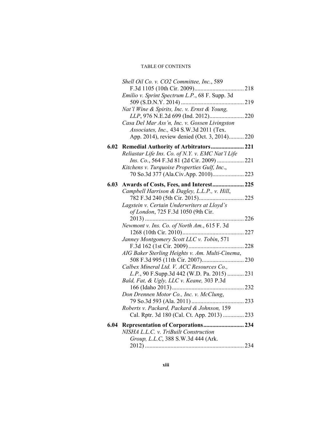|      | Shell Oil Co. v. CO2 Committee, Inc., 589                                                |  |
|------|------------------------------------------------------------------------------------------|--|
|      |                                                                                          |  |
|      | Emilio v. Sprint Spectrum L.P., 68 F. Supp. 3d                                           |  |
|      |                                                                                          |  |
|      | Nat'l Wine & Spirits, Inc. v. Ernst & Young,                                             |  |
|      |                                                                                          |  |
|      | Casa Del Mar Ass'n, Inc. v. Gossen Livingston                                            |  |
|      | Associates, Inc., 434 S.W.3d 2011 (Tex.                                                  |  |
|      | App. 2014), review denied (Oct. 3, 2014) 220                                             |  |
|      | 6.02 Remedial Authority of Arbitrators 221                                               |  |
|      | Reliastar Life Ins. Co. of N.Y. v. EMC Nat'l Life                                        |  |
|      |                                                                                          |  |
|      | Kitchens v. Turquoise Properties Gulf, Inc.,                                             |  |
|      |                                                                                          |  |
|      |                                                                                          |  |
| 6.03 | Awards of Costs, Fees, and Interest 225                                                  |  |
|      | Campbell Harrison & Dagley, L.L.P., v. Hill,                                             |  |
|      |                                                                                          |  |
|      | Lagstein v. Certain Underwriters at Lloyd's                                              |  |
|      | of London, 725 F.3d 1050 (9th Cir.                                                       |  |
|      |                                                                                          |  |
|      | Newmont v. Ins. Co. of North Am., 615 F. 3d                                              |  |
|      |                                                                                          |  |
|      | Janney Montgomery Scott LLC v. Tobin, 571                                                |  |
|      |                                                                                          |  |
|      | AIG Baker Sterling Heights v. Am. Multi-Cinema,                                          |  |
|      |                                                                                          |  |
|      | Calbex Mineral Ltd. V. ACC Resources Co.,<br>L.P., 90 F.Supp.3d 442 (W.D. Pa. 2015)  231 |  |
|      | Bald, Fat, & Ugly, LLC v. Keane, 303 P.3d                                                |  |
|      |                                                                                          |  |
|      | Don Drennen Motor Co., Inc. v. McClung,                                                  |  |
|      |                                                                                          |  |
|      | Roberts v. Packard, Packard & Johnson, 159                                               |  |
|      | Cal. Rptr. 3d 180 (Cal. Ct. App. 2013)  233                                              |  |
|      |                                                                                          |  |
|      | 6.04 Representation of Corporations 234                                                  |  |
|      | NISHA L.L.C. v. TriBuilt Construction                                                    |  |
|      | Group, L.L.C, 388 S.W.3d 444 (Ark.                                                       |  |
|      |                                                                                          |  |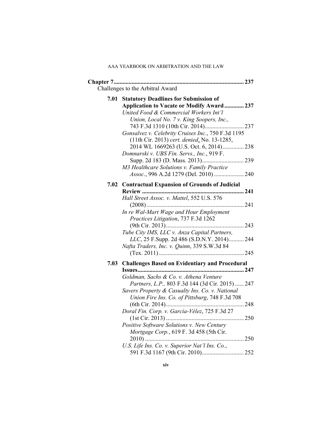|      | Challenges to the Arbitral Award                    |  |
|------|-----------------------------------------------------|--|
|      |                                                     |  |
| 7.01 | <b>Statutory Deadlines for Submission of</b>        |  |
|      | Application to Vacate or Modify Award 237           |  |
|      | United Food & Commercial Workers Int'l              |  |
|      | Union, Local No. 7 v. King Soopers, Inc.,           |  |
|      | Gonsalvez v. Celebrity Cruises Inc., 750 F.3d 1195  |  |
|      | (11th Cir. 2013) cert. denied, No. 13-1285,         |  |
|      | 2014 WL 1669263 (U.S. Oct. 6, 2014)  238            |  |
|      | Domnarski v. UBS Fin. Servs., Inc., 919 F.          |  |
|      |                                                     |  |
|      | M3 Healthcare Solutions v. Family Practice          |  |
|      |                                                     |  |
|      |                                                     |  |
| 7.02 | <b>Contractual Expansion of Grounds of Judicial</b> |  |
|      |                                                     |  |
|      | Hall Street Assoc. v. Mattel, 552 U.S. 576          |  |
|      |                                                     |  |
|      | In re Wal-Mart Wage and Hour Employment             |  |
|      | Practices Litigation, 737 F.3d 1262                 |  |
|      | Tube City IMS, LLC v. Anza Capital Partners,        |  |
|      | LLC, 25 F.Supp. 2d 486 (S.D.N.Y. 2014) 244          |  |
|      | Nafta Traders, Inc. v. Quinn, 339 S.W.3d 84         |  |
|      |                                                     |  |
|      | 7.03 Challenges Based on Evidentiary and Procedural |  |
|      |                                                     |  |
|      | Goldman, Sachs & Co. v. Athena Venture              |  |
|      | Partners, L.P., 803 F.3d 144 (3d Cir. 2015)  247    |  |
|      | Savers Property & Casualty Ins. Co. v. National     |  |
|      | Union Fire Ins. Co. of Pittsburg, 748 F.3d 708      |  |
|      |                                                     |  |
|      | Doral Fin. Corp. v. García-Vélez, 725 F.3d 27       |  |
|      |                                                     |  |
|      | Positive Software Solutions v. New Century          |  |
|      | Mortgage Corp., 619 F. 3d 458 (5th Cir.             |  |
|      |                                                     |  |
|      | U.S. Life Ins. Co. v. Superior Nat'l Ins. Co.,      |  |
|      |                                                     |  |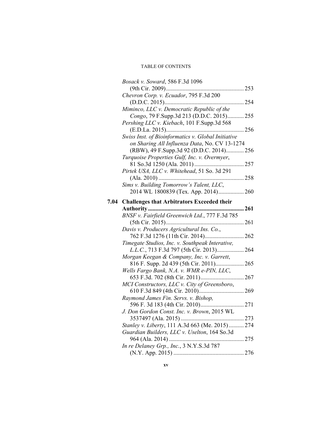|      | Bosack v. Soward, 586 F.3d 1096                    |     |
|------|----------------------------------------------------|-----|
|      |                                                    |     |
|      | Chevron Corp. v. Ecuador, 795 F.3d 200             |     |
|      |                                                    |     |
|      | Miminco, LLC v. Democratic Republic of the         |     |
|      | Congo, 79 F.Supp.3d 213 (D.D.C. 2015) 255          |     |
|      | Pershing LLC v. Kiebach, 101 F.Supp.3d 568         |     |
|      |                                                    |     |
|      | Swiss Inst. of Bioinformatics v. Global Initiative |     |
|      | on Sharing All Influenza Data, No. CV 13-1274      |     |
|      | (RBW), 49 F.Supp.3d 92 (D.D.C. 2014) 256           |     |
|      | Turquoise Properties Gulf, Inc. v. Overmyer,       |     |
|      |                                                    |     |
|      | Pirtek USA, LLC v. Whitehead, 51 So. 3d 291        |     |
|      |                                                    |     |
|      | Sims v. Building Tomorrow's Talent, LLC,           |     |
|      |                                                    |     |
|      |                                                    |     |
| 7.04 | <b>Challenges that Arbitrators Exceeded their</b>  |     |
|      |                                                    | 261 |
|      | BNSF v. Fairfield Greenwich Ltd., 777 F.3d 785     |     |
|      |                                                    |     |
|      | Davis v. Producers Agricultural Ins. Co.,          |     |
|      |                                                    |     |
|      | Timegate Studios, Inc. v. Southpeak Interative,    |     |
|      | L.L.C., 713 F.3d 797 (5th Cir. 2013) 264           |     |
|      | Morgan Keegan & Company, Inc. v. Garrett,          |     |
|      | 816 F. Supp. 2d 439 (5th Cir. 2011) 265            |     |
|      | Wells Fargo Bank, N.A. v. WMR e-PIN, LLC,          |     |
|      |                                                    |     |
|      | MCI Constructors, LLC v. City of Greensboro,       |     |
|      |                                                    |     |
|      | Raymond James Fin. Servs. v. Bishop,               |     |
|      |                                                    |     |
|      | J. Don Gordon Const. Inc. v. Brown, 2015 WL        |     |
|      |                                                    |     |
|      | Stanley v. Liberty, 111 A.3d 663 (Me. 2015)  274   |     |
|      | Guardian Builders, LLC v. Uselton, 164 So.3d       |     |
|      |                                                    |     |
|      | In re Delaney Grp., Inc., 3 N.Y.S.3d 787           |     |
|      |                                                    |     |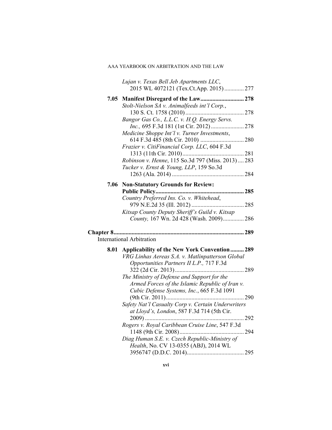|      | Lujan v. Texas Bell Jeb Apartments LLC,<br>2015 WL 4072121 (Tex.Ct.App. 2015)277                                                             |  |
|------|----------------------------------------------------------------------------------------------------------------------------------------------|--|
|      |                                                                                                                                              |  |
| 7.05 | Manifest Disregard of the Law 278<br>Stolt-Nielson SA v. Animalfeeds int'l Corp.,                                                            |  |
|      | Bangor Gas Co., L.L.C. v. H.Q. Energy Servs.                                                                                                 |  |
|      |                                                                                                                                              |  |
|      | Medicine Shoppe Int'l v. Turner Investments,                                                                                                 |  |
|      |                                                                                                                                              |  |
|      | Frazier v. CitiFinancial Corp. LLC, 604 F.3d                                                                                                 |  |
|      |                                                                                                                                              |  |
|      | Robinson v. Henne, 115 So.3d 797 (Miss. 2013)  283<br>Tucker v. Ernst & Young, LLP, 159 So.3d                                                |  |
|      |                                                                                                                                              |  |
|      | 7.06 Non-Statutory Grounds for Review:                                                                                                       |  |
|      |                                                                                                                                              |  |
|      | Country Preferred Ins. Co. v. Whitehead,                                                                                                     |  |
|      | Kitsap County Deputy Sheriff's Guild v. Kitsap                                                                                               |  |
|      | County, 167 Wn. 2d 428 (Wash. 2009) 286                                                                                                      |  |
|      | <b>International Arbitration</b>                                                                                                             |  |
|      |                                                                                                                                              |  |
| 8.01 | Applicability of the New York Convention 289<br>VRG Linhas Aereas S.A. v. Matlinpatterson Global<br>Opportunities Partners II L.P., 717 F.3d |  |
|      |                                                                                                                                              |  |
|      | The Ministry of Defense and Support for the                                                                                                  |  |
|      | Armed Forces of the Islamic Republic of Iran v.                                                                                              |  |
|      | Cubic Defense Systems, Inc., 665 F.3d 1091                                                                                                   |  |
|      | Safety Nat'l Casualty Corp v. Certain Underwriters                                                                                           |  |
|      | at Lloyd's, London, 587 F.3d 714 (5th Cir.                                                                                                   |  |
|      |                                                                                                                                              |  |
|      | Rogers v. Royal Caribbean Cruise Line, 547 F.3d                                                                                              |  |
|      | Diag Human S.E. v. Czech Republic-Ministry of                                                                                                |  |
|      | Health, No. CV 13-0355 (ABJ), 2014 WL                                                                                                        |  |
|      |                                                                                                                                              |  |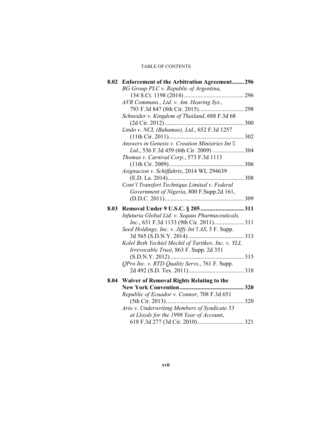|      | 8.02 Enforcement of the Arbitration Agreement 296  |  |
|------|----------------------------------------------------|--|
|      | BG Group PLC v. Republic of Argentina,             |  |
|      |                                                    |  |
|      | AVR Communs., Ltd. v. Am. Hearing Sys.,            |  |
|      |                                                    |  |
|      | Schneider v. Kingdom of Thailand, 688 F.3d 68      |  |
|      |                                                    |  |
|      | Lindo v. NCL (Bahamas), Ltd., 652 F.3d 1257        |  |
|      |                                                    |  |
|      | Answers in Genesis v. Creation Ministries Int'l.   |  |
|      |                                                    |  |
|      | Thomas v. Carnival Corp., 573 F.3d 1113            |  |
|      |                                                    |  |
|      | Asignacion v. Schiffahrts, 2014 WL 294639          |  |
|      |                                                    |  |
|      | Cont'l Transfert Technique Limited v. Federal      |  |
|      | Government of Nigeria, 800 F.Supp.2d 161,          |  |
|      |                                                    |  |
|      |                                                    |  |
|      |                                                    |  |
| 8.03 |                                                    |  |
|      | Infuturia Global Ltd. v. Sequus Pharmaceuticals,   |  |
|      |                                                    |  |
|      | Seed Holdings, Inc. v. Jiffy Int'l AS, 5 F. Supp.  |  |
|      |                                                    |  |
|      | Kolel Beth Yechiel Mechil of Tartikov, Inc. v. YLL |  |
|      | Irrevocable Trust, 863 F. Supp. 2d 351             |  |
|      |                                                    |  |
|      | OPro Inc. v. RTD Quality Servs., 761 F. Supp.      |  |
|      |                                                    |  |
|      | 8.04 Waiver of Removal Rights Relating to the      |  |
|      | 320                                                |  |
|      | Republic of Ecuador v. Connor, 708 F.3d 651        |  |
|      |                                                    |  |
|      | Ario v. Underwriting Members of Syndicate 53       |  |
|      | at Lloyds for the 1998 Year of Account,            |  |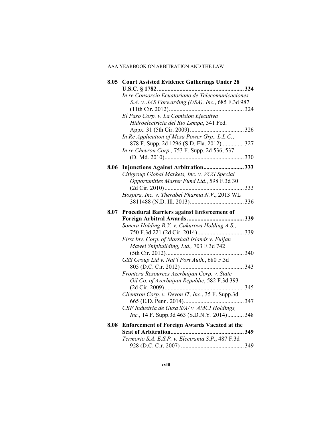|      | 8.05 Court Assisted Evidence Gatherings Under 28                                                                                         |  |
|------|------------------------------------------------------------------------------------------------------------------------------------------|--|
|      | In re Consorcio Ecuatoriano de Telecomunicaciones<br>S.A. v. JAS Forwarding (USA), Inc., 685 F.3d 987                                    |  |
|      | El Paso Corp. v. La Comision Ejecutiva<br>Hidroelectricia del Rio Lempa, 341 Fed.                                                        |  |
|      | In Re Application of Mesa Power Grp., L.L.C.,                                                                                            |  |
|      | 878 F. Supp. 2d 1296 (S.D. Fla. 2012) 327<br>In re Chevron Corp., 753 F. Supp. 2d 536, 537                                               |  |
|      |                                                                                                                                          |  |
|      | 8.06 Injunctions Against Arbitration 333<br>Citigroup Global Markets, Inc. v. VCG Special<br>Opportunities Master Fund Ltd., 598 F.3d 30 |  |
|      | Hospira, Inc. v. Therabel Pharma N.V., 2013 WL                                                                                           |  |
|      |                                                                                                                                          |  |
| 8.07 | <b>Procedural Barriers against Enforcement of</b>                                                                                        |  |
|      | Sonera Holding B.V. v. Cukurova Holding A.S.,<br>First Inv. Corp. of Marshall Islands v. Fuijan                                          |  |
|      | Mawei Shipbuilding, Ltd., 703 F.3d 742                                                                                                   |  |
|      | GSS Group Ltd v. Nat'l Port Auth., 680 F.3d                                                                                              |  |
|      | Frontera Resources Azerbaijan Corp. v. State<br>Oil Co. of Azerbaijan Republic, 582 F.3d 393                                             |  |
|      | Clientron Corp. v. Devon IT, Inc., 35 F. Supp.3d                                                                                         |  |
|      | CBF Industria de Gusa S/A/v. AMCI Holdings,<br><i>Inc.</i> , 14 F. Supp.3d 463 (S.D.N.Y. 2014) 348                                       |  |
|      | 8.08 Enforcement of Foreign Awards Vacated at the                                                                                        |  |
|      | Termorio S.A. E.S.P. v. Electranta S.P., 487 F.3d                                                                                        |  |